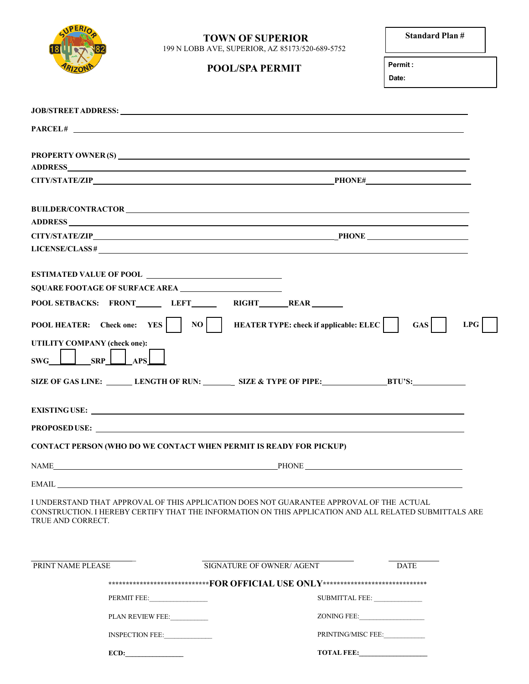

## **TOWN OF SUPERIOR** <br>**EXAMPLE Standard Plan** # 199 N LOBB AVE, SUPERIOR, AZ 85173/520-689-5752

## **POOL/SPA PERMIT Permit :**

**Date:**

**TOTAL FEE:\_\_\_\_\_\_\_\_\_\_\_\_\_\_\_\_\_\_\_\_**

|                              | PARCEL#                                                                                                                                                                                            |                                                                                  |                       |             |     |
|------------------------------|----------------------------------------------------------------------------------------------------------------------------------------------------------------------------------------------------|----------------------------------------------------------------------------------|-----------------------|-------------|-----|
|                              |                                                                                                                                                                                                    |                                                                                  |                       |             |     |
|                              |                                                                                                                                                                                                    |                                                                                  |                       |             |     |
|                              |                                                                                                                                                                                                    |                                                                                  |                       |             |     |
|                              |                                                                                                                                                                                                    |                                                                                  |                       |             |     |
|                              |                                                                                                                                                                                                    |                                                                                  |                       |             |     |
|                              | LICENSE/CLASS # $\frac{1}{2}$                                                                                                                                                                      |                                                                                  |                       |             |     |
|                              |                                                                                                                                                                                                    |                                                                                  |                       |             |     |
|                              | SQUARE FOOTAGE OF SURFACE AREA                                                                                                                                                                     |                                                                                  |                       |             |     |
|                              | POOL SETBACKS: FRONT_______ LEFT________ RIGHT_______REAR________                                                                                                                                  |                                                                                  |                       |             |     |
|                              | POOL HEATER: Check one: YES     NO     HEATER TYPE: check if applicable: ELEC                                                                                                                      |                                                                                  |                       | GAS         | LPG |
| UTILITY COMPANY (check one): |                                                                                                                                                                                                    |                                                                                  |                       |             |     |
| $SWG$ $\Box$ $SRP$           | <b>APS</b>                                                                                                                                                                                         |                                                                                  |                       |             |     |
|                              | SIZE OF GAS LINE: LENGTH OF RUN: SIZE & TYPE OF PIPE: BTU'S:                                                                                                                                       |                                                                                  |                       |             |     |
|                              |                                                                                                                                                                                                    |                                                                                  |                       |             |     |
|                              | PROPOSED USE:                                                                                                                                                                                      |                                                                                  |                       |             |     |
|                              | <b>CONTACT PERSON (WHO DO WE CONTACT WHEN PERMIT IS READY FOR PICKUP)</b>                                                                                                                          |                                                                                  |                       |             |     |
|                              |                                                                                                                                                                                                    |                                                                                  |                       |             |     |
| <b>EMAIL</b>                 |                                                                                                                                                                                                    |                                                                                  |                       |             |     |
| TRUE AND CORRECT.            | I UNDERSTAND THAT APPROVAL OF THIS APPLICATION DOES NOT GUARANTEE APPROVAL OF THE ACTUAL<br>CONSTRUCTION. I HEREBY CERTIFY THAT THE INFORMATION ON THIS APPLICATION AND ALL RELATED SUBMITTALS ARE |                                                                                  |                       |             |     |
| PRINT NAME PLEASE            |                                                                                                                                                                                                    | SIGNATURE OF OWNER/ AGENT                                                        |                       | <b>DATE</b> |     |
|                              |                                                                                                                                                                                                    | ******************************FOR OFFICIAL USE ONLY***************************** |                       |             |     |
|                              | PERMIT FEE:                                                                                                                                                                                        |                                                                                  | <b>SUBMITTAL FEE:</b> |             |     |
|                              | PLAN REVIEW FEE:                                                                                                                                                                                   |                                                                                  | ZONING FEE:           |             |     |
|                              | INSPECTION FEE:                                                                                                                                                                                    |                                                                                  | PRINTING/MISC FEE:    |             |     |

**ECD:**